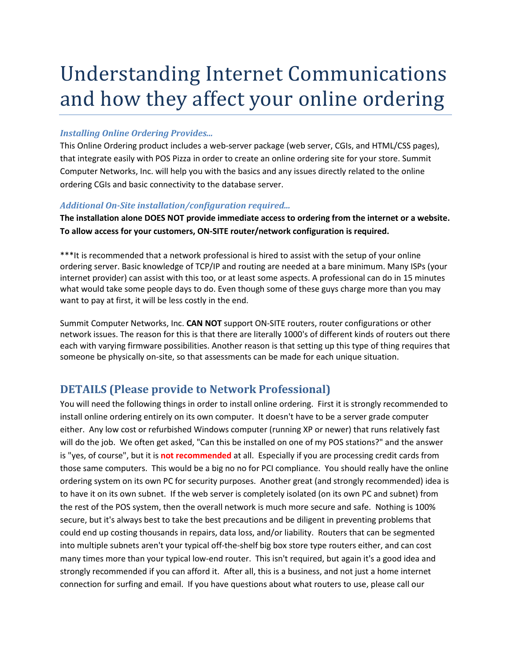## Understanding Internet Communications and how they affect your online ordering

## *Installing Online Ordering Provides...*

This Online Ordering product includes a web-server package (web server, CGIs, and HTML/CSS pages), that integrate easily with POS Pizza in order to create an online ordering site for your store. Summit Computer Networks, Inc. will help you with the basics and any issues directly related to the online ordering CGIs and basic connectivity to the database server.

## *Additional On-Site installation/configuration required...*

**The installation alone DOES NOT provide immediate access to ordering from the internet or a website. To allow access for your customers, ON-SITE router/network configuration is required.** 

\*\*\*It is recommended that a network professional is hired to assist with the setup of your online ordering server. Basic knowledge of TCP/IP and routing are needed at a bare minimum. Many ISPs (your internet provider) can assist with this too, or at least some aspects. A professional can do in 15 minutes what would take some people days to do. Even though some of these guys charge more than you may want to pay at first, it will be less costly in the end.

Summit Computer Networks, Inc. **CAN NOT** support ON-SITE routers, router configurations or other network issues. The reason for this is that there are literally 1000's of different kinds of routers out there each with varying firmware possibilities. Another reason is that setting up this type of thing requires that someone be physically on-site, so that assessments can be made for each unique situation.

## **DETAILS (Please provide to Network Professional)**

You will need the following things in order to install online ordering. First it is strongly recommended to install online ordering entirely on its own computer. It doesn't have to be a server grade computer either. Any low cost or refurbished Windows computer (running XP or newer) that runs relatively fast will do the job. We often get asked, "Can this be installed on one of my POS stations?" and the answer is "yes, of course", but it is **not recommended** at all. Especially if you are processing credit cards from those same computers. This would be a big no no for PCI compliance. You should really have the online ordering system on its own PC for security purposes. Another great (and strongly recommended) idea is to have it on its own subnet. If the web server is completely isolated (on its own PC and subnet) from the rest of the POS system, then the overall network is much more secure and safe. Nothing is 100% secure, but it's always best to take the best precautions and be diligent in preventing problems that could end up costing thousands in repairs, data loss, and/or liability. Routers that can be segmented into multiple subnets aren't your typical off-the-shelf big box store type routers either, and can cost many times more than your typical low-end router. This isn't required, but again it's a good idea and strongly recommended if you can afford it. After all, this is a business, and not just a home internet connection for surfing and email. If you have questions about what routers to use, please call our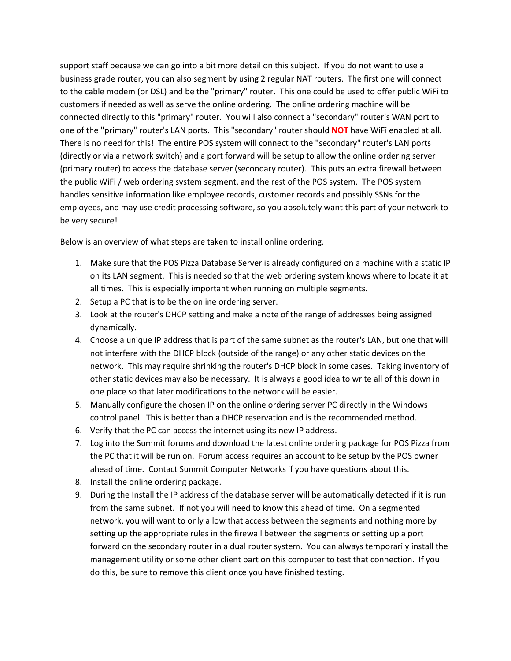support staff because we can go into a bit more detail on this subject. If you do not want to use a business grade router, you can also segment by using 2 regular NAT routers. The first one will connect to the cable modem (or DSL) and be the "primary" router. This one could be used to offer public WiFi to customers if needed as well as serve the online ordering. The online ordering machine will be connected directly to this "primary" router. You will also connect a "secondary" router's WAN port to one of the "primary" router's LAN ports. This "secondary" router should **NOT** have WiFi enabled at all. There is no need for this! The entire POS system will connect to the "secondary" router's LAN ports (directly or via a network switch) and a port forward will be setup to allow the online ordering server (primary router) to access the database server (secondary router). This puts an extra firewall between the public WiFi / web ordering system segment, and the rest of the POS system. The POS system handles sensitive information like employee records, customer records and possibly SSNs for the employees, and may use credit processing software, so you absolutely want this part of your network to be very secure!

Below is an overview of what steps are taken to install online ordering.

- 1. Make sure that the POS Pizza Database Server is already configured on a machine with a static IP on its LAN segment. This is needed so that the web ordering system knows where to locate it at all times. This is especially important when running on multiple segments.
- 2. Setup a PC that is to be the online ordering server.
- 3. Look at the router's DHCP setting and make a note of the range of addresses being assigned dynamically.
- 4. Choose a unique IP address that is part of the same subnet as the router's LAN, but one that will not interfere with the DHCP block (outside of the range) or any other static devices on the network. This may require shrinking the router's DHCP block in some cases. Taking inventory of other static devices may also be necessary. It is always a good idea to write all of this down in one place so that later modifications to the network will be easier.
- 5. Manually configure the chosen IP on the online ordering server PC directly in the Windows control panel. This is better than a DHCP reservation and is the recommended method.
- 6. Verify that the PC can access the internet using its new IP address.
- 7. Log into the Summit forums and download the latest online ordering package for POS Pizza from the PC that it will be run on. Forum access requires an account to be setup by the POS owner ahead of time. Contact Summit Computer Networks if you have questions about this.
- 8. Install the online ordering package.
- 9. During the Install the IP address of the database server will be automatically detected if it is run from the same subnet. If not you will need to know this ahead of time. On a segmented network, you will want to only allow that access between the segments and nothing more by setting up the appropriate rules in the firewall between the segments or setting up a port forward on the secondary router in a dual router system. You can always temporarily install the management utility or some other client part on this computer to test that connection. If you do this, be sure to remove this client once you have finished testing.